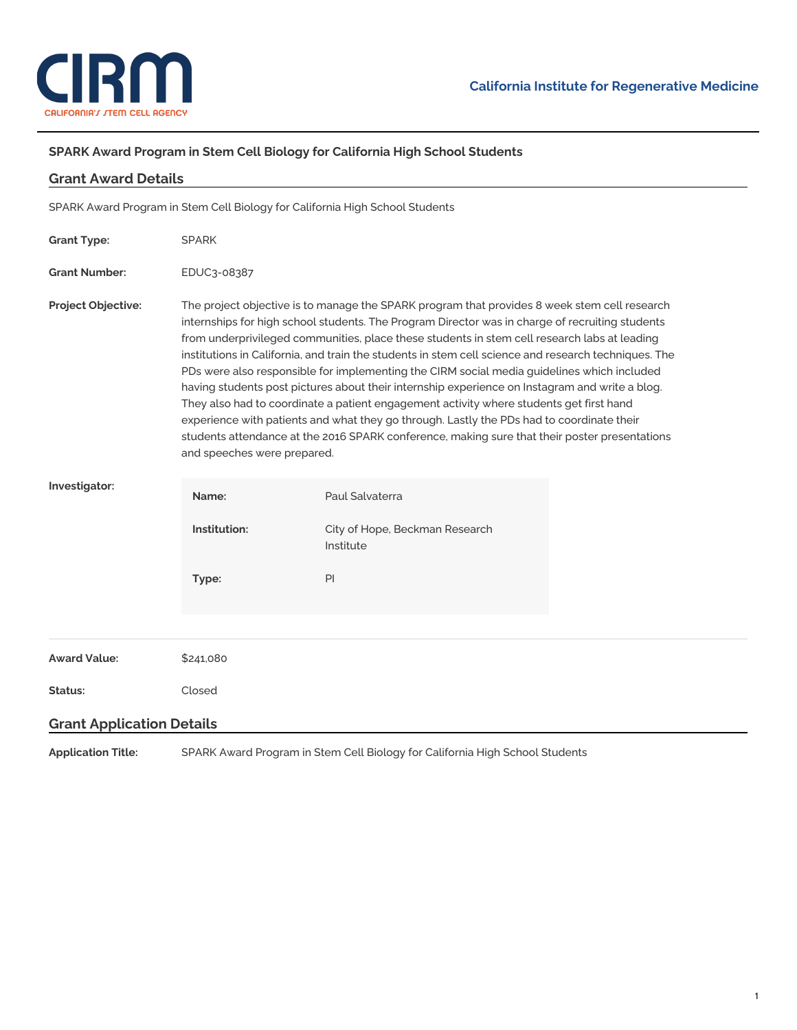

÷,

## **SPARK Award Program in Stem Cell Biology for California High School Students**

| <b>Grant Award Details</b>                                                   |                                                                                                                                                                                                                                                                                                                                                                                                                                                                                                                                                                                                                                                                                                                                                                                                                                                                                                                                 |                                             |  |
|------------------------------------------------------------------------------|---------------------------------------------------------------------------------------------------------------------------------------------------------------------------------------------------------------------------------------------------------------------------------------------------------------------------------------------------------------------------------------------------------------------------------------------------------------------------------------------------------------------------------------------------------------------------------------------------------------------------------------------------------------------------------------------------------------------------------------------------------------------------------------------------------------------------------------------------------------------------------------------------------------------------------|---------------------------------------------|--|
| SPARK Award Program in Stem Cell Biology for California High School Students |                                                                                                                                                                                                                                                                                                                                                                                                                                                                                                                                                                                                                                                                                                                                                                                                                                                                                                                                 |                                             |  |
| <b>Grant Type:</b>                                                           | <b>SPARK</b>                                                                                                                                                                                                                                                                                                                                                                                                                                                                                                                                                                                                                                                                                                                                                                                                                                                                                                                    |                                             |  |
| <b>Grant Number:</b>                                                         | EDUC3-08387                                                                                                                                                                                                                                                                                                                                                                                                                                                                                                                                                                                                                                                                                                                                                                                                                                                                                                                     |                                             |  |
| <b>Project Objective:</b>                                                    | The project objective is to manage the SPARK program that provides 8 week stem cell research<br>internships for high school students. The Program Director was in charge of recruiting students<br>from underprivileged communities, place these students in stem cell research labs at leading<br>institutions in California, and train the students in stem cell science and research techniques. The<br>PDs were also responsible for implementing the CIRM social media guidelines which included<br>having students post pictures about their internship experience on Instagram and write a blog.<br>They also had to coordinate a patient engagement activity where students get first hand<br>experience with patients and what they go through. Lastly the PDs had to coordinate their<br>students attendance at the 2016 SPARK conference, making sure that their poster presentations<br>and speeches were prepared. |                                             |  |
| Investigator:                                                                | Name:                                                                                                                                                                                                                                                                                                                                                                                                                                                                                                                                                                                                                                                                                                                                                                                                                                                                                                                           | Paul Salvaterra                             |  |
|                                                                              | Institution:                                                                                                                                                                                                                                                                                                                                                                                                                                                                                                                                                                                                                                                                                                                                                                                                                                                                                                                    | City of Hope, Beckman Research<br>Institute |  |
|                                                                              | Type:                                                                                                                                                                                                                                                                                                                                                                                                                                                                                                                                                                                                                                                                                                                                                                                                                                                                                                                           | PI                                          |  |
|                                                                              |                                                                                                                                                                                                                                                                                                                                                                                                                                                                                                                                                                                                                                                                                                                                                                                                                                                                                                                                 |                                             |  |
| <b>Award Value:</b>                                                          | \$241,080                                                                                                                                                                                                                                                                                                                                                                                                                                                                                                                                                                                                                                                                                                                                                                                                                                                                                                                       |                                             |  |
| Status:                                                                      | Closed                                                                                                                                                                                                                                                                                                                                                                                                                                                                                                                                                                                                                                                                                                                                                                                                                                                                                                                          |                                             |  |
| <b>Grant Application Details</b>                                             |                                                                                                                                                                                                                                                                                                                                                                                                                                                                                                                                                                                                                                                                                                                                                                                                                                                                                                                                 |                                             |  |
| <b>Application Title:</b>                                                    | SPARK Award Program in Stem Cell Biology for California High School Students                                                                                                                                                                                                                                                                                                                                                                                                                                                                                                                                                                                                                                                                                                                                                                                                                                                    |                                             |  |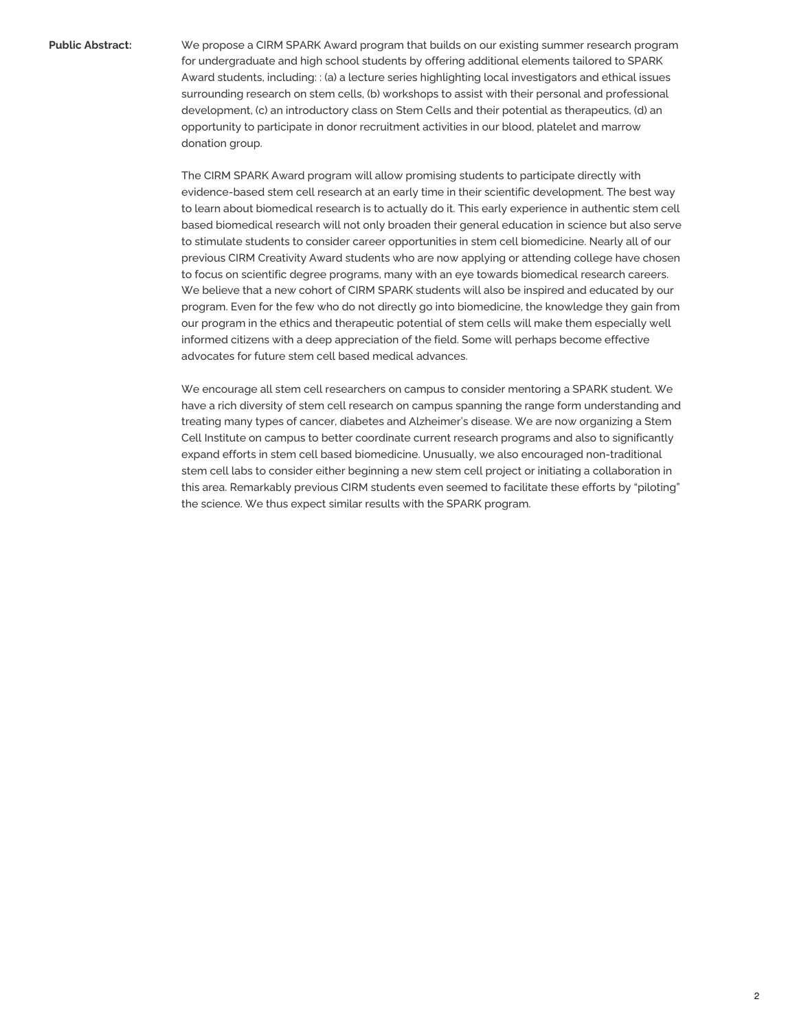**Public Abstract:** We propose a CIRM SPARK Award program that builds on our existing summer research program for undergraduate and high school students by offering additional elements tailored to SPARK Award students, including: : (a) a lecture series highlighting local investigators and ethical issues surrounding research on stem cells, (b) workshops to assist with their personal and professional development, (c) an introductory class on Stem Cells and their potential as therapeutics, (d) an opportunity to participate in donor recruitment activities in our blood, platelet and marrow donation group.

> The CIRM SPARK Award program will allow promising students to participate directly with evidence-based stem cell research at an early time in their scientific development. The best way to learn about biomedical research is to actually do it. This early experience in authentic stem cell based biomedical research will not only broaden their general education in science but also serve to stimulate students to consider career opportunities in stem cell biomedicine. Nearly all of our previous CIRM Creativity Award students who are now applying or attending college have chosen to focus on scientific degree programs, many with an eye towards biomedical research careers. We believe that a new cohort of CIRM SPARK students will also be inspired and educated by our program. Even for the few who do not directly go into biomedicine, the knowledge they gain from our program in the ethics and therapeutic potential of stem cells will make them especially well informed citizens with a deep appreciation of the field. Some will perhaps become effective advocates for future stem cell based medical advances.

> We encourage all stem cell researchers on campus to consider mentoring a SPARK student. We have a rich diversity of stem cell research on campus spanning the range form understanding and treating many types of cancer, diabetes and Alzheimer's disease. We are now organizing a Stem Cell Institute on campus to better coordinate current research programs and also to significantly expand efforts in stem cell based biomedicine. Unusually, we also encouraged non-traditional stem cell labs to consider either beginning a new stem cell project or initiating a collaboration in this area. Remarkably previous CIRM students even seemed to facilitate these efforts by "piloting" the science. We thus expect similar results with the SPARK program.